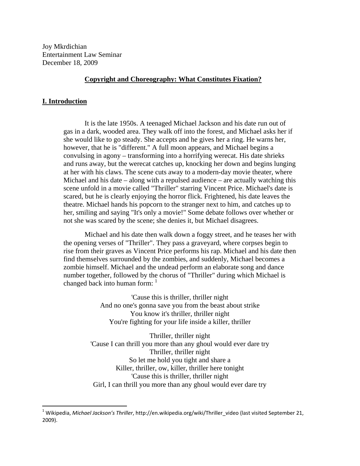Joy Mkrdichian Entertainment Law Seminar December 18, 2009

#### **Copyright and Choreography: What Constitutes Fixation?**

#### **I. Introduction**

It is the late 1950s. A teenaged Michael Jackson and his date run out of gas in a dark, wooded area. They walk off into the forest, and Michael asks her if she would like to go steady. She accepts and he gives her a ring. He warns her, however, that he is "different." A full moon appears, and Michael begins a convulsing in agony – transforming into a horrifying werecat. His date shrieks and runs away, but the werecat catches up, knocking her down and begins lunging at her with his claws. The scene cuts away to a modern-day movie theater, where Michael and his date – along with a repulsed audience – are actually watching this scene unfold in a movie called "Thriller" starring Vincent Price. Michael's date is scared, but he is clearly enjoying the horror flick. Frightened, his date leaves the theatre. Michael hands his popcorn to the stranger next to him, and catches up to her, smiling and saying "It's only a movie!" Some debate follows over whether or not she was scared by the scene; she denies it, but Michael disagrees.

Michael and his date then walk down a foggy street, and he teases her with the opening verses of "Thriller". They pass a graveyard, where corpses begin to rise from their graves as Vincent Price performs his rap. Michael and his date then find themselves surrounded by the zombies, and suddenly, Michael becomes a zombie himself. Michael and the undead perform an elaborate song and dance number together, followed by the chorus of "Thriller" during which Michael is changed back into human form:  $1$ 

> 'Cause this is thriller, thriller night And no one's gonna save you from the beast about strike You know it's thriller, thriller night You're fighting for your life inside a killer, thriller

Thriller, thriller night 'Cause I can thrill you more than any ghoul would ever dare try Thriller, thriller night So let me hold you tight and share a Killer, thriller, ow, killer, thriller here tonight 'Cause this is thriller, thriller night Girl, I can thrill you more than any ghoul would ever dare try

<sup>1</sup> Wikipedia, *Michael Jackson's Thriller*, http://en.wikipedia.org/wiki/Thriller\_video (last visited September 21, 2009).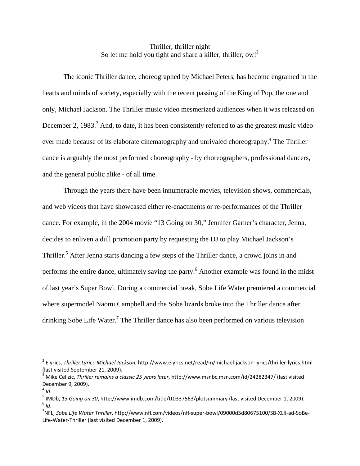## Thriller, thriller night So let me hold you tight and share a killer, thriller, ow!<sup>2</sup>

The iconic Thriller dance, choreographed by Michael Peters, has become engrained in the hearts and minds of society, especially with the recent passing of the King of Pop, the one and only, Michael Jackson. The Thriller music video mesmerized audiences when it was released on December 2, 1983.<sup>3</sup> And, to date, it has been consistently referred to as the greatest music video ever made because of its elaborate cinematography and unrivaled choreography.<sup>4</sup> The Thriller dance is arguably the most performed choreography - by choreographers, professional dancers, and the general public alike - of all time.

Through the years there have been innumerable movies, television shows, commercials, and web videos that have showcased either re-enactments or re-performances of the Thriller dance. For example, in the 2004 movie "13 Going on 30," Jennifer Garner's character, Jenna, decides to enliven a dull promotion party by requesting the DJ to play Michael Jackson's Thriller.<sup>5</sup> After Jenna starts dancing a few steps of the Thriller dance, a crowd joins in and performs the entire dance, ultimately saving the party.<sup>6</sup> Another example was found in the midst of last year's Super Bowl. During a commercial break, Sobe Life Water premiered a commercial where supermodel Naomi Campbell and the Sobe lizards broke into the Thriller dance after drinking Sobe Life Water.<sup>7</sup> The Thriller dance has also been performed on various television

<sup>&</sup>lt;sup>2</sup> Elyrics, *Thriller Lyrics-Michael Jackson*, http://www.elyrics.net/read/m/michael-jackson-lyrics/thriller-lyrics.html<br>(last visited September 21, 2009).

<sup>(</sup>last visited September 21, 2009). <sup>3</sup> Mike Celizic, *Thriller remains <sup>a</sup> classic <sup>25</sup> years later*, http://www.msnbc.msn.com/id/24282347/ (last visited

December 9, 2009).<br><sup>4</sup> *Id*.<br><sup>5</sup> IMDb, *13 Going on 30*, http://www.imdb.com/title/tt0337563/plotsummary (last visited December 1, 2009).<br><sup>6</sup> *Id*.

NFL, *Sobe Life Water Thriller*, http://www.nfl.com/videos/nfl‐super‐bowl/09000d5d80675100/SB‐XLII‐ad‐SoBe‐ Life‐Water‐Thriller (last visited December 1, 2009).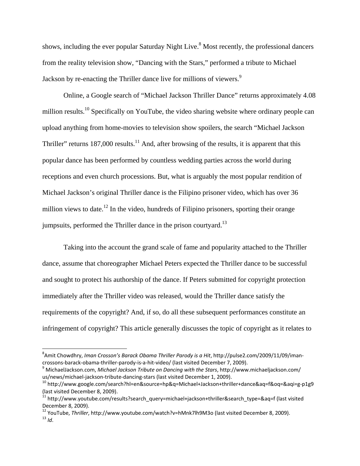shows, including the ever popular Saturday Night Live.<sup>8</sup> Most recently, the professional dancers from the reality television show, "Dancing with the Stars," performed a tribute to Michael Jackson by re-enacting the Thriller dance live for millions of viewers.<sup>9</sup>

Online, a Google search of "Michael Jackson Thriller Dance" returns approximately 4.08 million results.<sup>10</sup> Specifically on YouTube, the video sharing website where ordinary people can upload anything from home-movies to television show spoilers, the search "Michael Jackson Thriller" returns  $187,000$  results.<sup>11</sup> And, after browsing of the results, it is apparent that this popular dance has been performed by countless wedding parties across the world during receptions and even church processions. But, what is arguably the most popular rendition of Michael Jackson's original Thriller dance is the Filipino prisoner video, which has over 36 million views to date.<sup>12</sup> In the video, hundreds of Filipino prisoners, sporting their orange jumpsuits, performed the Thriller dance in the prison courtyard.<sup>13</sup>

Taking into the account the grand scale of fame and popularity attached to the Thriller dance, assume that choreographer Michael Peters expected the Thriller dance to be successful and sought to protect his authorship of the dance. If Peters submitted for copyright protection immediately after the Thriller video was released, would the Thriller dance satisfy the requirements of the copyright? And, if so, do all these subsequent performances constitute an infringement of copyright? This article generally discusses the topic of copyright as it relates to

<sup>8</sup> Amit Chowdhry, *Iman Crosson's Barack Obama Thriller Parody is a Hit*, http://pulse2.com/2009/11/09/iman‐ crossons-barack-obama-thriller-parody-is-a-hit-video/ (last visited December 7, 2009).<br><sup>9</sup> MichaelJackson.com. *Michael Jackson Tribute on Dancing with the Stars*, http://www.michaeljackson.com/

us/news/michael-jackson-tribute-dancing-stars (last visited December 1, 2009).<br><sup>10</sup> http://www.google.com/search?hl=en&source=hp&q=Michael+Jackson+thriller+dance&aq=f&oq=&aqi=g-p1g9

<sup>(</sup>last visited December 8, 2009).<br><sup>11</sup> http://www.youtube.com/results?search\_query=michael+jackson+thriller&search\_type=&aq=f (last visited

December 8, 2009).<br><sup>12</sup> YouTube, *Thriller*, http://www.youtube.com/watch?v=hMnk7lh9M3o (last visited December 8, 2009).<br><sup>13</sup> *Id*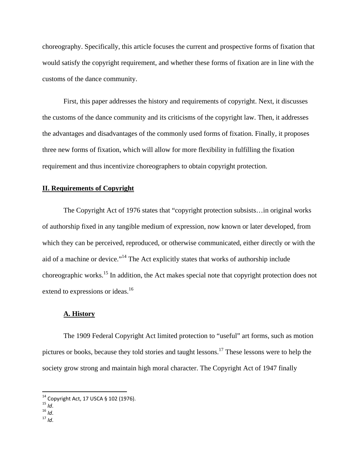choreography. Specifically, this article focuses the current and prospective forms of fixation that would satisfy the copyright requirement, and whether these forms of fixation are in line with the customs of the dance community.

First, this paper addresses the history and requirements of copyright. Next, it discusses the customs of the dance community and its criticisms of the copyright law. Then, it addresses the advantages and disadvantages of the commonly used forms of fixation. Finally, it proposes three new forms of fixation, which will allow for more flexibility in fulfilling the fixation requirement and thus incentivize choreographers to obtain copyright protection.

### **II. Requirements of Copyright**

The Copyright Act of 1976 states that "copyright protection subsists…in original works of authorship fixed in any tangible medium of expression, now known or later developed, from which they can be perceived, reproduced, or otherwise communicated, either directly or with the aid of a machine or device."14 The Act explicitly states that works of authorship include choreographic works.15 In addition, the Act makes special note that copyright protection does not extend to expressions or ideas.<sup>16</sup>

#### **A. History**

The 1909 Federal Copyright Act limited protection to "useful" art forms, such as motion pictures or books, because they told stories and taught lessons.17 These lessons were to help the society grow strong and maintain high moral character. The Copyright Act of 1947 finally

<sup>&</sup>lt;sup>14</sup> Copyright Act, 17 USCA § 102 (1976).<br><sup>15</sup> *Id*.<br><sup>16</sup> *Id*. 17 *Id*.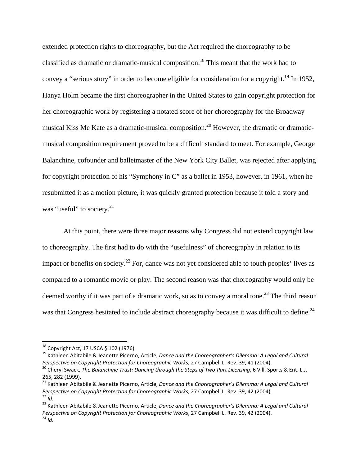extended protection rights to choreography, but the Act required the choreography to be classified as dramatic or dramatic-musical composition.18 This meant that the work had to convey a "serious story" in order to become eligible for consideration for a copyright.<sup>19</sup> In 1952, Hanya Holm became the first choreographer in the United States to gain copyright protection for her choreographic work by registering a notated score of her choreography for the Broadway musical Kiss Me Kate as a dramatic-musical composition.<sup>20</sup> However, the dramatic or dramaticmusical composition requirement proved to be a difficult standard to meet. For example, George Balanchine, cofounder and balletmaster of the New York City Ballet, was rejected after applying for copyright protection of his "Symphony in C" as a ballet in 1953, however, in 1961, when he resubmitted it as a motion picture, it was quickly granted protection because it told a story and was "useful" to society.<sup>21</sup>

At this point, there were three major reasons why Congress did not extend copyright law to choreography. The first had to do with the "usefulness" of choreography in relation to its impact or benefits on society.<sup>22</sup> For, dance was not yet considered able to touch peoples' lives as compared to a romantic movie or play. The second reason was that choreography would only be deemed worthy if it was part of a dramatic work, so as to convey a moral tone.<sup>23</sup> The third reason was that Congress hesitated to include abstract choreography because it was difficult to define.<sup>24</sup>

<sup>&</sup>lt;sup>18</sup> Copyright Act, 17 USCA § 102 (1976).

<sup>&</sup>lt;sup>19</sup> Kathleen Abitabile & Jeanette Picerno, Article, Dance and the Choreographer's Dilemma: A Legal and Cultural<br>Perspective on Copyright Protection for Choreographic Works, 27 Campbell L. Rev. 39, 41 (2004).

<sup>&</sup>lt;sup>20</sup> Cheryl Swack, The Balanchine Trust: Dancing through the Steps of Two-Part Licensing, 6 Vill. Sports & Ent. L.J.<br>265, 282 (1999).

<sup>265,</sup> <sup>282</sup> (1999). <sup>21</sup> Kathleen Abitabile & Jeanette Picerno, Article, *Dance and the Choreographer's Dilemma: <sup>A</sup> Legal and Cultural* Perspective on Copyright Protection for Choreographic Works, 27 Campbell L. Rev. 39, 42 (2004).<br><sup>22</sup> Id.<br><sup>23</sup> Kathleen Abitabile & Jeanette Picerno, Article, Dance and the Choreographer's Dilemma: A Legal and Cultural

*Perspective on Copyright Protection for Choreographic Works*, <sup>27</sup> Campbell L. Rev. 39, <sup>42</sup> (2004). <sup>24</sup> *Id*.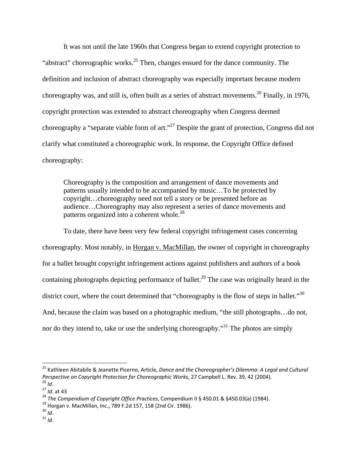It was not until the late 1960s that Congress began to extend copyright protection to "abstract" choreographic works.<sup>25</sup> Then, changes ensued for the dance community. The definition and inclusion of abstract choreography was especially important because modern choreography was, and still is, often built as a series of abstract movements.26 Finally, in 1976, copyright protection was extended to abstract choreography when Congress deemed choreography a "separate viable form of art."27 Despite the grant of protection, Congress did not clarify what constituted a choreographic work. In response, the Copyright Office defined choreography:

Choreography is the composition and arrangement of dance movements and patterns usually intended to be accompanied by music…To be protected by copyright…choreography need not tell a story or be presented before an audience…Choreography may also represent a series of dance movements and patterns organized into a coherent whole.<sup>28</sup>

To date, there have been very few federal copyright infringement cases concerning choreography. Most notably, in Horgan v. MacMillan, the owner of copyright in choreography for a ballet brought copyright infringement actions against publishers and authors of a book containing photographs depicting performance of ballet.<sup>29</sup> The case was originally heard in the district court, where the court determined that "choreography is the flow of steps in ballet."<sup>30</sup> And, because the claim was based on a photographic medium, "the still photographs…do not, nor do they intend to, take or use the underlying choreography."<sup>31</sup> The photos are simply

<sup>25</sup> Kathleen Abitabile & Jeanette Picerno, Article, *Dance and the Choreographer's Dilemma: A Legal and Cultural* Perspective on Copyright Protection for Choreographic Works, 27 Campbell L. Rev. 39, 42 (2004).<br><sup>26</sup> *Id.*<br><sup>27</sup> *Id.* at 43<br><sup>28</sup> The Compendium of Copyright Office Practices, Compendium II § 450.01 & §450.03(a) (1984).<br><sup>2</sup>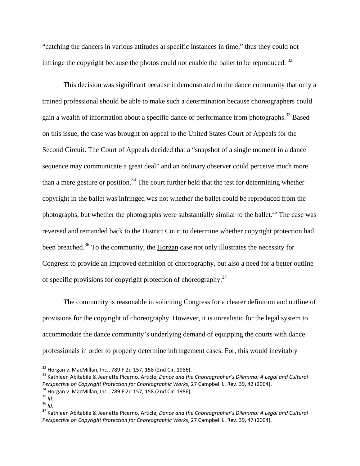"catching the dancers in various attitudes at specific instances in time," thus they could not infringe the copyright because the photos could not enable the ballet to be reproduced.<sup>32</sup>

This decision was significant because it demonstrated to the dance community that only a trained professional should be able to make such a determination because choreographers could gain a wealth of information about a specific dance or performance from photographs.33 Based on this issue, the case was brought on appeal to the United States Court of Appeals for the Second Circuit. The Court of Appeals decided that a "snapshot of a single moment in a dance sequence may communicate a great deal" and an ordinary observer could perceive much more than a mere gesture or position.<sup>34</sup> The court further held that the test for determining whether copyright in the ballet was infringed was not whether the ballet could be reproduced from the photographs, but whether the photographs were substantially similar to the ballet.<sup>35</sup> The case was reversed and remanded back to the District Court to determine whether copyright protection had been breached.<sup>36</sup> To the community, the Horgan case not only illustrates the necessity for Congress to provide an improved definition of choreography, but also a need for a better outline of specific provisions for copyright protection of choreography.37

The community is reasonable in soliciting Congress for a clearer definition and outline of provisions for the copyright of choreography. However, it is unrealistic for the legal system to accommodate the dance community's underlying demand of equipping the courts with dance professionals in order to properly determine infringement cases. For, this would inevitably

<sup>&</sup>lt;sup>32</sup> Horgan v. MacMillan, Inc., 789 F.2d 157, 158 (2nd Cir. 1986).

<sup>&</sup>lt;sup>33</sup> Kathleen Abitabile & Jeanette Picerno, Article, Dance and the Choreographer's Dilemma: A Legal and Cultural<br>Perspective on Copyright Protection for Choreographic Works, 27 Campbell L. Rev. 39, 42 (2004).

<sup>&</sup>lt;sup>34</sup> Horgan v. MacMillan, Inc., 789 F.2d 157, 158 (2nd Cir. 1986).<br><sup>35</sup> Id.<br><sup>36</sup> Id.<br><sup>37</sup> Kathleen Abitabile & Jeanette Picerno, Article, *Dance and the Choreographer's Dilemma: A Legal and Cultural Perspective on Copyright Protection for Choreographic Works*, 27 Campbell L. Rev. 39, 47 (2004).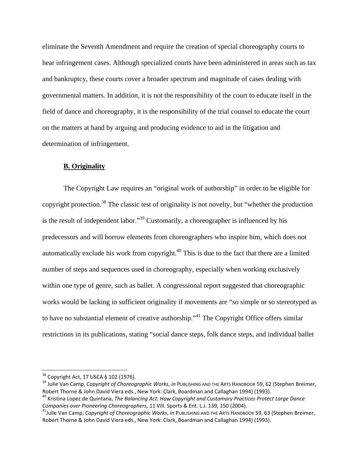eliminate the Seventh Amendment and require the creation of special choreography courts to hear infringement cases. Although specialized courts have been administered in areas such as tax and bankruptcy, these courts cover a broader spectrum and magnitude of cases dealing with governmental matters. In addition, it is not the responsibility of the court to educate itself in the field of dance and choreography, it is the responsibility of the trial counsel to educate the court on the matters at hand by arguing and producing evidence to aid in the litigation and determination of infringement.

#### **B. Originality**

 The Copyright Law requires an "original work of authorship" in order to be eligible for copyright protection.<sup>38</sup> The classic test of originality is not novelty, but "whether the production" is the result of independent labor."<sup>39</sup> Customarily, a choreographer is influenced by his predecessors and will borrow elements from choreographers who inspire him, which does not automatically exclude his work from copyright.<sup>40</sup> This is due to the fact that there are a limited number of steps and sequences used in choreography, especially when working exclusively within one type of genre, such as ballet. A congressional report suggested that choreographic works would be lacking in sufficient originality if movements are "so simple or so stereotyped as to have no substantial element of creative authorship."<sup>41</sup> The Copyright Office offers similar restrictions in its publications, stating "social dance steps, folk dance steps, and individual ballet

<sup>&</sup>lt;sup>38</sup> Copyright Act, 17 USCA § 102 (1976).

<sup>&</sup>lt;sup>39</sup> Julie Van Camp, *Copyright of Choreographic Works, in* PUBLISHING AND THE ARTS HANDBOOK 59, 62 (Stephen Breimer,<br>Robert Thorne & John David Viera eds., New York: Clark, Boardman and Callaghan 1994) (1993).

<sup>&</sup>lt;sup>40</sup> Kristina Lopez de Quintana, The Balancing Act: How Copyright and Customary Practices Protect Large Dance Companies over Pioneering Choreographers, 11 Vill. Sports & Ent. L.J. 139, 150 (2004).<br><sup>41</sup>Julie Van Camp, Copyright of Choreographic Works, in PUBLISHING AND THE ARTS HANDBOOK 59, 63 (Stephen Breimer,

Robert Thorne & John David Viera eds., New York: Clark, Boardman and Callaghan 1994) (1993).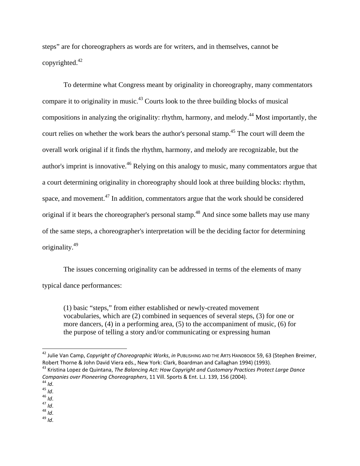steps" are for choreographers as words are for writers, and in themselves, cannot be copyrighted.42

 To determine what Congress meant by originality in choreography, many commentators compare it to originality in music.<sup>43</sup> Courts look to the three building blocks of musical compositions in analyzing the originality: rhythm, harmony, and melody.44 Most importantly, the court relies on whether the work bears the author's personal stamp.<sup>45</sup> The court will deem the overall work original if it finds the rhythm, harmony, and melody are recognizable, but the author's imprint is innovative.<sup>46</sup> Relying on this analogy to music, many commentators argue that a court determining originality in choreography should look at three building blocks: rhythm, space, and movement.47 In addition, commentators argue that the work should be considered original if it bears the choreographer's personal stamp.<sup>48</sup> And since some ballets may use many of the same steps, a choreographer's interpretation will be the deciding factor for determining originality.49

 The issues concerning originality can be addressed in terms of the elements of many typical dance performances:

(1) basic "steps," from either established or newly-created movement vocabularies, which are (2) combined in sequences of several steps, (3) for one or more dancers, (4) in a performing area, (5) to the accompaniment of music, (6) for the purpose of telling a story and/or communicating or expressing human

<sup>42</sup> Julie Van Camp, *Copyright of Choreographic Works*, *in* PUBLISHING AND THE ARTS HANDBOOK 59, 63 (Stephen Breimer,

<sup>&</sup>lt;sup>43</sup> Kristina Lopez de Quintana, The Balancing Act: How Copyright and Customary Practices Protect Large Dance *Companies over Pioneering Choreographers,* 11 Vill. Sports & Ent. L.J. 139, 156 (2004).<br>
<sup>44</sup> *Id*.<br>
<sup>45</sup> *Id*.<br>
<sup>45</sup> *Id*.<br>
<sup>47</sup> *Id*.<br>
<sup>48</sup> *Id*.<br>
<sup>48</sup> *Id*.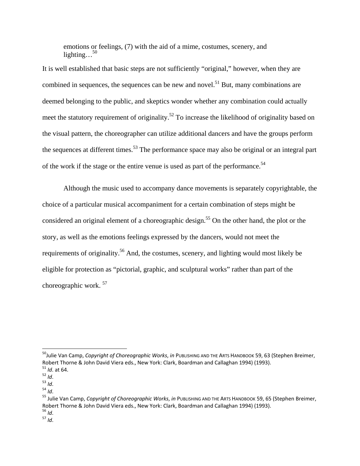emotions or feelings, (7) with the aid of a mime, costumes, scenery, and lighting... $50$ 

It is well established that basic steps are not sufficiently "original," however, when they are combined in sequences, the sequences can be new and novel.<sup>51</sup> But, many combinations are deemed belonging to the public, and skeptics wonder whether any combination could actually meet the statutory requirement of originality.<sup>52</sup> To increase the likelihood of originality based on the visual pattern, the choreographer can utilize additional dancers and have the groups perform the sequences at different times.<sup>53</sup> The performance space may also be original or an integral part of the work if the stage or the entire venue is used as part of the performance.<sup>54</sup>

Although the music used to accompany dance movements is separately copyrightable, the choice of a particular musical accompaniment for a certain combination of steps might be considered an original element of a choreographic design.<sup>55</sup> On the other hand, the plot or the story, as well as the emotions feelings expressed by the dancers, would not meet the requirements of originality.56 And, the costumes, scenery, and lighting would most likely be eligible for protection as "pictorial, graphic, and sculptural works" rather than part of the choreographic work. 57

<sup>50</sup>Julie Van Camp, *Copyright of Choreographic Works*, *in* PUBLISHING AND THE ARTS HANDBOOK 59, 63 (Stephen Breimer, <sup>51</sup> Id. at 64.<br><sup>52</sup> Id.<br><sup>53</sup> Id.<br><sup>54</sup> Id.<br><sup>55</sup> Julie Van Camp, *Copyright of Choreographic Works, in* PUBLISHING AND THE ARTS HANDBOOK 59, 65 (Stephen Breimer,

Robert Thorne & John David Viera eds., New York: Clark, Boardman and Callaghan 1994) (1993).<br><sup>56</sup> *Id*.<br><sup>57</sup> *Id*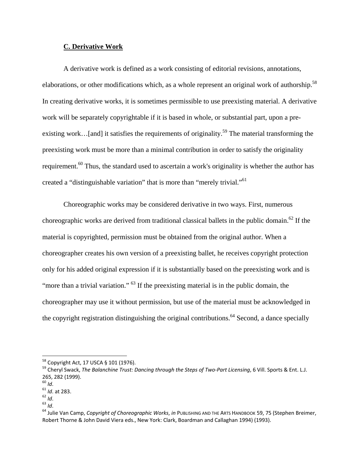#### **C. Derivative Work**

A derivative work is defined as a work consisting of editorial revisions, annotations, elaborations, or other modifications which, as a whole represent an original work of authorship.<sup>58</sup> In creating derivative works, it is sometimes permissible to use preexisting material. A derivative work will be separately copyrightable if it is based in whole, or substantial part, upon a preexisting work...[and] it satisfies the requirements of originality.<sup>59</sup> The material transforming the preexisting work must be more than a minimal contribution in order to satisfy the originality requirement.<sup>60</sup> Thus, the standard used to ascertain a work's originality is whether the author has created a "distinguishable variation" that is more than "merely trivial."<sup>61</sup>

Choreographic works may be considered derivative in two ways. First, numerous choreographic works are derived from traditional classical ballets in the public domain.<sup>62</sup> If the material is copyrighted, permission must be obtained from the original author. When a choreographer creates his own version of a preexisting ballet, he receives copyright protection only for his added original expression if it is substantially based on the preexisting work and is "more than a trivial variation."  $^{63}$  If the preexisting material is in the public domain, the choreographer may use it without permission, but use of the material must be acknowledged in the copyright registration distinguishing the original contributions.<sup>64</sup> Second, a dance specially

<sup>&</sup>lt;sup>58</sup> Copyright Act, 17 USCA § 101 (1976).<br><sup>59</sup> Cheryl Swack, *The Balanchine Trust: Dancing through the Steps of Two-Part Licensing,* 6 Vill. Sports & Ent. L.J.<br>265, 282 (1999).

<sup>&</sup>lt;sup>60</sup> *Id.*<br><sup>61</sup> *Id.* at 283.<br><sup>62</sup> *Id.*<br><sup>63</sup> *Id.*<br><sup>64</sup> Julie Van Camp, *Copyright of Choreographic Works, in* PUBLISHING AND THE ARTS HANDBOOK 59, 75 (Stephen Breimer, Robert Thorne & John David Viera eds., New York: Clark, Boardman and Callaghan 1994) (1993).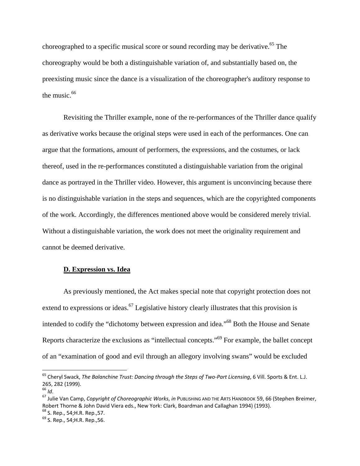choreographed to a specific musical score or sound recording may be derivative.<sup>65</sup> The choreography would be both a distinguishable variation of, and substantially based on, the preexisting music since the dance is a visualization of the choreographer's auditory response to the music. $66$ 

Revisiting the Thriller example, none of the re-performances of the Thriller dance qualify as derivative works because the original steps were used in each of the performances. One can argue that the formations, amount of performers, the expressions, and the costumes, or lack thereof, used in the re-performances constituted a distinguishable variation from the original dance as portrayed in the Thriller video. However, this argument is unconvincing because there is no distinguishable variation in the steps and sequences, which are the copyrighted components of the work. Accordingly, the differences mentioned above would be considered merely trivial. Without a distinguishable variation, the work does not meet the originality requirement and cannot be deemed derivative.

## **D. Expression vs. Idea**

As previously mentioned, the Act makes special note that copyright protection does not extend to expressions or ideas.<sup>67</sup> Legislative history clearly illustrates that this provision is intended to codify the "dichotomy between expression and idea."<sup>68</sup> Both the House and Senate Reports characterize the exclusions as "intellectual concepts."69 For example, the ballet concept of an "examination of good and evil through an allegory involving swans" would be excluded

<sup>65</sup> Cheryl Swack, *The Balanchine Trust: Dancing through the Steps of Two‐Part Licensing*, 6 Vill. Sports & Ent. L.J. 265, <sup>282</sup> (1999). <sup>66</sup> *Id*. <sup>67</sup> Julie Van Camp, *Copyright of Choreographic Works*, *in* PUBLISHING AND THE ARTS HANDBOOK 59, <sup>66</sup> (Stephen Breimer,

Robert Thorne & John David Viera eds., New York: Clark, Boardman and Callaghan 1994) (1993).<br><sup>68</sup> S. Rep., 54;H.R. Rep.,57. 69 S. Rep., 54:H.R. Rep., 56.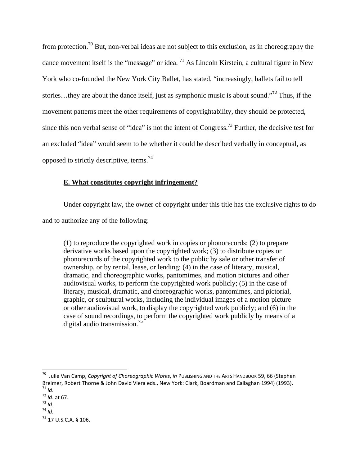from protection.<sup>70</sup> But, non-verbal ideas are not subject to this exclusion, as in choreography the dance movement itself is the "message" or idea.  $^{71}$  As Lincoln Kirstein, a cultural figure in New York who co-founded the New York City Ballet, has stated, "increasingly, ballets fail to tell stories…they are about the dance itself, just as symphonic music is about sound."**<sup>72</sup>** Thus, if the movement patterns meet the other requirements of copyrightability, they should be protected, since this non verbal sense of "idea" is not the intent of Congress.73 Further, the decisive test for an excluded "idea" would seem to be whether it could be described verbally in conceptual, as opposed to strictly descriptive, terms.74

# **E. What constitutes copyright infringement?**

Under copyright law, the owner of copyright under this title has the exclusive rights to do and to authorize any of the following:

(1) to reproduce the copyrighted work in copies or phonorecords; (2) to prepare derivative works based upon the copyrighted work; (3) to distribute copies or phonorecords of the copyrighted work to the public by sale or other transfer of ownership, or by rental, lease, or lending; (4) in the case of literary, musical, dramatic, and choreographic works, pantomimes, and motion pictures and other audiovisual works, to perform the copyrighted work publicly; (5) in the case of literary, musical, dramatic, and choreographic works, pantomimes, and pictorial, graphic, or sculptural works, including the individual images of a motion picture or other audiovisual work, to display the copyrighted work publicly; and (6) in the case of sound recordings, to perform the copyrighted work publicly by means of a digital audio transmission.<sup>75</sup>

<sup>70</sup> Julie Van Camp, *Copyright of Choreographic Works*, *in* PUBLISHING AND THE ARTS HANDBOOK 59, 66 (Stephen Breimer, Robert Thorne & John David Viera eds., New York: Clark, Boardman and Callaghan 1994) (1993).<br>
<sup>71</sup> *Id*.<br>
<sup>72</sup> *Id*. at 67.<br>
<sup>73</sup> *Id*.<br>
<sup>74</sup> *Id*.

<sup>75</sup> 17 U.S.C.A. § 106.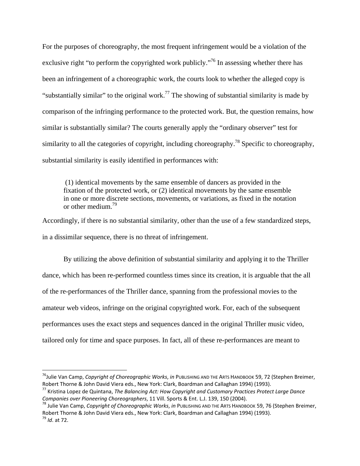For the purposes of choreography, the most frequent infringement would be a violation of the exclusive right "to perform the copyrighted work publicly."<sup>76</sup> In assessing whether there has been an infringement of a choreographic work, the courts look to whether the alleged copy is "substantially similar" to the original work.<sup>77</sup> The showing of substantial similarity is made by comparison of the infringing performance to the protected work. But, the question remains, how similar is substantially similar? The courts generally apply the "ordinary observer" test for similarity to all the categories of copyright, including choreography.<sup>78</sup> Specific to choreography, substantial similarity is easily identified in performances with:

 (1) identical movements by the same ensemble of dancers as provided in the fixation of the protected work, or (2) identical movements by the same ensemble in one or more discrete sections, movements, or variations, as fixed in the notation or other medium.79

Accordingly, if there is no substantial similarity, other than the use of a few standardized steps, in a dissimilar sequence, there is no threat of infringement.

 By utilizing the above definition of substantial similarity and applying it to the Thriller dance, which has been re-performed countless times since its creation, it is arguable that the all of the re-performances of the Thriller dance, spanning from the professional movies to the amateur web videos, infringe on the original copyrighted work. For, each of the subsequent performances uses the exact steps and sequences danced in the original Thriller music video, tailored only for time and space purposes. In fact, all of these re-performances are meant to

<sup>76</sup>Julie Van Camp, *Copyright of Choreographic Works*, *in* PUBLISHING AND THE ARTS HANDBOOK 59, 72 (Stephen Breimer,

Robert Thorne & John David Viera eds., New York: Clark, Boardman and Callaghan 1994) (1993).<br><sup>77</sup> Kristina Lopez de Quintana, *The Balancing Act: How Copyright and Customary Practices Protect Large Dance*<br>Companies over Pi

<sup>&</sup>lt;sup>78</sup> Julie Van Camp, Copyright of Choreographic Works, in PUBLISHING AND THE ARTS HANDBOOK 59, 76 (Stephen Breimer, Robert Thorne & John David Viera eds., New York: Clark, Boardman and Callaghan 1994) (1993). <sup>79</sup> *Id*. at 72.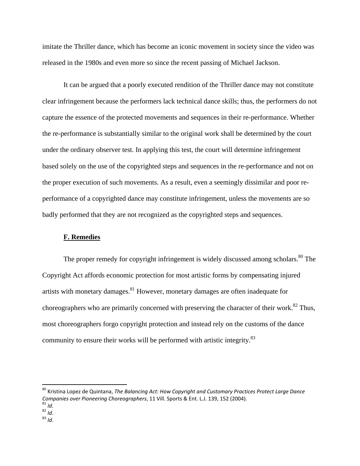imitate the Thriller dance, which has become an iconic movement in society since the video was released in the 1980s and even more so since the recent passing of Michael Jackson.

It can be argued that a poorly executed rendition of the Thriller dance may not constitute clear infringement because the performers lack technical dance skills; thus, the performers do not capture the essence of the protected movements and sequences in their re-performance. Whether the re-performance is substantially similar to the original work shall be determined by the court under the ordinary observer test. In applying this test, the court will determine infringement based solely on the use of the copyrighted steps and sequences in the re-performance and not on the proper execution of such movements. As a result, even a seemingly dissimilar and poor reperformance of a copyrighted dance may constitute infringement, unless the movements are so badly performed that they are not recognized as the copyrighted steps and sequences.

### **F. Remedies**

The proper remedy for copyright infringement is widely discussed among scholars.<sup>80</sup> The Copyright Act affords economic protection for most artistic forms by compensating injured artists with monetary damages.<sup>81</sup> However, monetary damages are often inadequate for choreographers who are primarily concerned with preserving the character of their work.<sup>82</sup> Thus, most choreographers forgo copyright protection and instead rely on the customs of the dance community to ensure their works will be performed with artistic integrity.<sup>83</sup>

<sup>80</sup> Kristina Lopez de Quintana, *The Balancing Act: How Copyright and Customary Practices Protect Large Dance Companies over Pioneering Choreographers*, <sup>11</sup> Vill. Sports & Ent. L.J. 139, <sup>152</sup> (2004). <sup>81</sup> *Id*. <sup>82</sup> *Id*. <sup>83</sup> *Id*.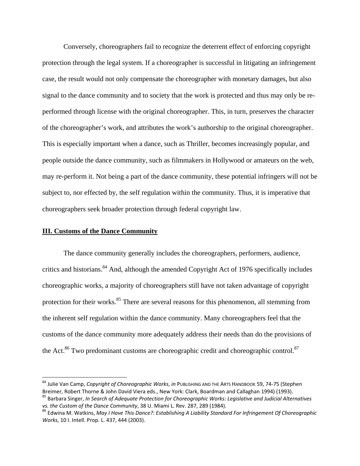Conversely, choreographers fail to recognize the deterrent effect of enforcing copyright protection through the legal system. If a choreographer is successful in litigating an infringement case, the result would not only compensate the choreographer with monetary damages, but also signal to the dance community and to society that the work is protected and thus may only be reperformed through license with the original choreographer. This, in turn, preserves the character of the choreographer's work, and attributes the work's authorship to the original choreographer. This is especially important when a dance, such as Thriller, becomes increasingly popular, and people outside the dance community, such as filmmakers in Hollywood or amateurs on the web, may re-perform it. Not being a part of the dance community, these potential infringers will not be subject to, nor effected by, the self regulation within the community. Thus, it is imperative that choreographers seek broader protection through federal copyright law.

### **III. Customs of the Dance Community**

 The dance community generally includes the choreographers, performers, audience, critics and historians.<sup>84</sup> And, although the amended Copyright Act of 1976 specifically includes choreographic works, a majority of choreographers still have not taken advantage of copyright protection for their works.<sup>85</sup> There are several reasons for this phenomenon, all stemming from the inherent self regulation within the dance community. Many choreographers feel that the customs of the dance community more adequately address their needs than do the provisions of the Act.<sup>86</sup> Two predominant customs are choreographic credit and choreographic control.<sup>87</sup>

<sup>&</sup>lt;sup>84</sup> Julie Van Camp, *Copyright of Choreographic Works, in* P∪в⊔sнияс AND THE ARTS HANDBOOK 59, 74-75 (Stephen<br>Breimer, Robert Thorne & John David Viera eds., New York: Clark, Boardman and Callaghan 1994) (1993).

<sup>&</sup>lt;sup>85</sup> Barbara Singer, In Search of Adequate Protection for Choreographic Works: Legislative and Judicial Alternatives<br>vs. the Custom of the Dance Community, 38 U. Miami L. Rev. 287, 289 (1984).

<sup>&</sup>lt;sup>86</sup> Edwina M. Watkins, May I Have This Dance?: Establishing A Liability Standard For Infringement Of Choreographic *Works*, 10 I. Intell. Prop. L. 437, 444 (2003).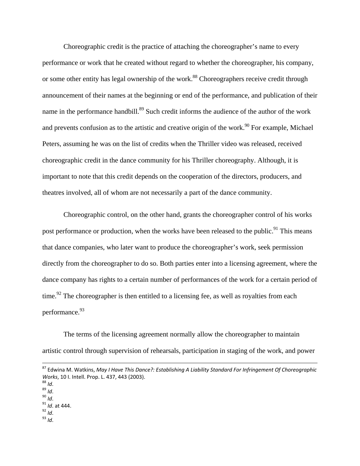Choreographic credit is the practice of attaching the choreographer's name to every performance or work that he created without regard to whether the choreographer, his company, or some other entity has legal ownership of the work.<sup>88</sup> Choreographers receive credit through announcement of their names at the beginning or end of the performance, and publication of their name in the performance handbill.<sup>89</sup> Such credit informs the audience of the author of the work and prevents confusion as to the artistic and creative origin of the work.<sup>90</sup> For example, Michael Peters, assuming he was on the list of credits when the Thriller video was released, received choreographic credit in the dance community for his Thriller choreography. Although, it is important to note that this credit depends on the cooperation of the directors, producers, and theatres involved, all of whom are not necessarily a part of the dance community.

 Choreographic control, on the other hand, grants the choreographer control of his works post performance or production, when the works have been released to the public.<sup>91</sup> This means that dance companies, who later want to produce the choreographer's work, seek permission directly from the choreographer to do so. Both parties enter into a licensing agreement, where the dance company has rights to a certain number of performances of the work for a certain period of time.<sup>92</sup> The choreographer is then entitled to a licensing fee, as well as royalties from each performance.<sup>93</sup>

The terms of the licensing agreement normally allow the choreographer to maintain artistic control through supervision of rehearsals, participation in staging of the work, and power

- 
- 
- 
- 
- 

 <sup>87</sup> Edwina M. Watkins, *May <sup>I</sup> Have This Dance?: Establishing <sup>A</sup> Liability Standard For Infringement Of Choreographic Works*, 10 I. Intell. Prop. L. 437, 443 (2003).<br><sup>88</sup> *Id*.<br><sup>89</sup> *Id*.<br><sup>90</sup> *Id*.<br><sup>91</sup> *Id*. at 444.<br><sup>92</sup> *Id*.<br><sup>93</sup> *Id*.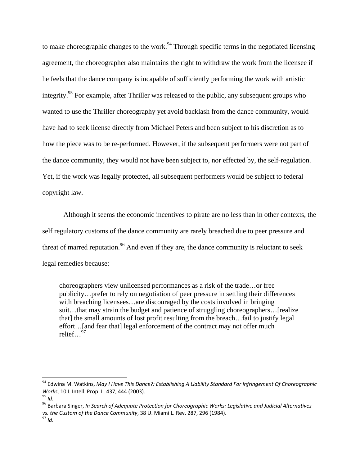to make choreographic changes to the work.<sup>94</sup> Through specific terms in the negotiated licensing agreement, the choreographer also maintains the right to withdraw the work from the licensee if he feels that the dance company is incapable of sufficiently performing the work with artistic integrity.<sup>95</sup> For example, after Thriller was released to the public, any subsequent groups who wanted to use the Thriller choreography yet avoid backlash from the dance community, would have had to seek license directly from Michael Peters and been subject to his discretion as to how the piece was to be re-performed. However, if the subsequent performers were not part of the dance community, they would not have been subject to, nor effected by, the self-regulation. Yet, if the work was legally protected, all subsequent performers would be subject to federal copyright law.

Although it seems the economic incentives to pirate are no less than in other contexts, the self regulatory customs of the dance community are rarely breached due to peer pressure and threat of marred reputation.<sup>96</sup> And even if they are, the dance community is reluctant to seek legal remedies because:

choreographers view unlicensed performances as a risk of the trade…or free publicity…prefer to rely on negotiation of peer pressure in settling their differences with breaching licensees...are discouraged by the costs involved in bringing suit...that may strain the budget and patience of struggling choreographers...[realize that] the small amounts of lost profit resulting from the breach…fail to justify legal effort…[and fear that] legal enforcement of the contract may not offer much relief…97

<sup>95</sup> Id.<br><sup>96</sup> Barbara Singer. In Search of Adeauate Protection for Choreoaraphic Works: Leaislative and Judicial Alternatives *vs. the Custom of the Dance Community*, <sup>38</sup> U. Miami L. Rev. 287, <sup>296</sup> (1984). <sup>97</sup> *Id*.

<sup>94</sup> Edwina M. Watkins, *May I Have This Dance?: Establishing A Liability Standard For Infringement Of Choreographic*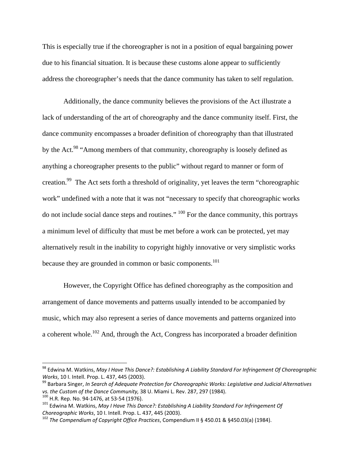This is especially true if the choreographer is not in a position of equal bargaining power due to his financial situation. It is because these customs alone appear to sufficiently address the choreographer's needs that the dance community has taken to self regulation.

 Additionally, the dance community believes the provisions of the Act illustrate a lack of understanding of the art of choreography and the dance community itself. First, the dance community encompasses a broader definition of choreography than that illustrated by the Act.<sup>98</sup> "Among members of that community, choreography is loosely defined as anything a choreographer presents to the public" without regard to manner or form of creation.99 The Act sets forth a threshold of originality, yet leaves the term "choreographic work" undefined with a note that it was not "necessary to specify that choreographic works do not include social dance steps and routines."  $100$  For the dance community, this portrays a minimum level of difficulty that must be met before a work can be protected, yet may alternatively result in the inability to copyright highly innovative or very simplistic works because they are grounded in common or basic components.<sup>101</sup>

However, the Copyright Office has defined choreography as the composition and arrangement of dance movements and patterns usually intended to be accompanied by music, which may also represent a series of dance movements and patterns organized into a coherent whole.102 And, through the Act, Congress has incorporated a broader definition

<sup>98</sup> Edwina M. Watkins, *May I Have This Dance?: Establishing A Liability Standard For Infringement Of Choreographic*

Works, 10 I. Intell. Prop. L. 437, 445 (2003).<br><sup>99</sup> Barbara Singer, *In Search of Adequate Protection for Choreographic Works: Legislative and Judicial Alternatives*<br>vs. the Custom of the Dance Community, 38 U. Miami L. Re

<sup>&</sup>lt;sup>100</sup> H.R. Rep. No. 94-1476, at 53-54 (1976).<br><sup>101</sup> Edwina M. Watkins, *May I Have This Dance?: Establishing A Liability Standard For Infringement Of*<br>Choreographic Works, 10 I. Intell. Prop. L. 437, 445 (2003).

*Choreographic Works*, <sup>10</sup> I. Intell. Prop. L. 437, <sup>445</sup> (2003). <sup>102</sup> *The Compendium of Copyright Office Practices*, Compendium II § 450.01 & §450.03(a) (1984).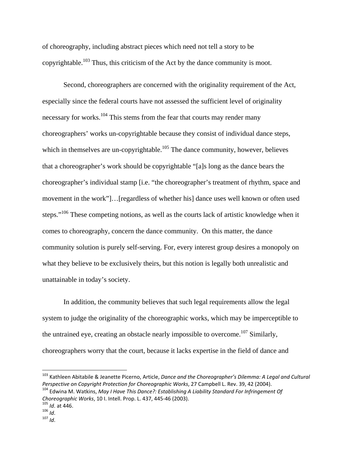of choreography, including abstract pieces which need not tell a story to be copyrightable.103 Thus, this criticism of the Act by the dance community is moot.

Second, choreographers are concerned with the originality requirement of the Act, especially since the federal courts have not assessed the sufficient level of originality necessary for works.<sup>104</sup> This stems from the fear that courts may render many choreographers' works un-copyrightable because they consist of individual dance steps, which in themselves are un-copyrightable.<sup>105</sup> The dance community, however, believes that a choreographer's work should be copyrightable "[a]s long as the dance bears the choreographer's individual stamp [i.e. "the choreographer's treatment of rhythm, space and movement in the work"]…[regardless of whether his] dance uses well known or often used steps."<sup>106</sup> These competing notions, as well as the courts lack of artistic knowledge when it comes to choreography, concern the dance community. On this matter, the dance community solution is purely self-serving. For, every interest group desires a monopoly on what they believe to be exclusively theirs, but this notion is legally both unrealistic and unattainable in today's society.

In addition, the community believes that such legal requirements allow the legal system to judge the originality of the choreographic works, which may be imperceptible to the untrained eye, creating an obstacle nearly impossible to overcome.<sup>107</sup> Similarly, choreographers worry that the court, because it lacks expertise in the field of dance and

<sup>103</sup> Kathleen Abitabile & Jeanette Picerno, Article, *Dance and the Choreographer's Dilemma: A Legal and Cultural* Perspective on Copyright Protection for Choreographic Works, 27 Campbell L. Rev. 39, 42 (2004).<br><sup>104</sup> Edwina M. Watkins, May I Have This Dance?: Establishing A Liability Standard For Infringement Of

*Choreographic Works*, 10 I. Intell. Prop. L. 437, 445-46 (2003).<br><sup>105</sup> *Id.* at 446.<br><sup>106</sup> *Id.* 107 *Id*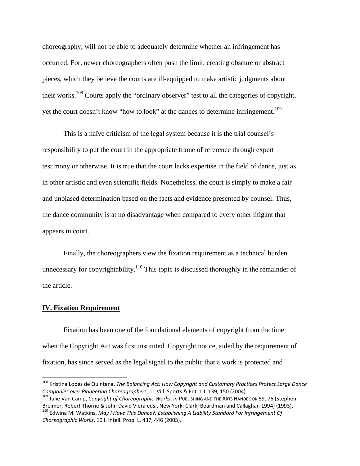choreography, will not be able to adequately determine whether an infringement has occurred. For, newer choreographers often push the limit, creating obscure or abstract pieces, which they believe the courts are ill-equipped to make artistic judgments about their works.108 Courts apply the "ordinary observer" test to all the categories of copyright, yet the court doesn't know "how to look" at the dances to determine infringement.<sup>109</sup>

This is a naïve criticism of the legal system because it is the trial counsel's responsibility to put the court in the appropriate frame of reference through expert testimony or otherwise. It is true that the court lacks expertise in the field of dance, just as in other artistic and even scientific fields. Nonetheless, the court is simply to make a fair and unbiased determination based on the facts and evidence presented by counsel. Thus, the dance community is at no disadvantage when compared to every other litigant that appears in court.

 Finally, the choreographers view the fixation requirement as a technical burden unnecessary for copyrightability.<sup>110</sup> This topic is discussed thoroughly in the remainder of the article.

#### **IV. Fixation Requirement**

 Fixation has been one of the foundational elements of copyright from the time when the Copyright Act was first instituted. Copyright notice, aided by the requirement of fixation, has since served as the legal signal to the public that a work is protected and

<sup>108</sup> Kristina Lopez de Quintana, *The Balancing Act: How Copyright and Customary Practices Protect Large Dance*

Companies over Pioneering Choreographers, 11 Vill. Sports & Ent. L.J. 139, 150 (2004).<br><sup>109</sup> Julie Van Camp, Copyright of Choreographic Works, in PUBLISHING AND THE ARTS HANDBOOK 59, 76 (Stephen<br>Breimer, Robert Thorne & Jo

<sup>&</sup>lt;sup>110</sup> Edwina M. Watkins, May I Have This Dance?: Establishing A Liability Standard For Infringement Of *Choreographic Works*, 10 I. Intell. Prop. L. 437, 446 (2003).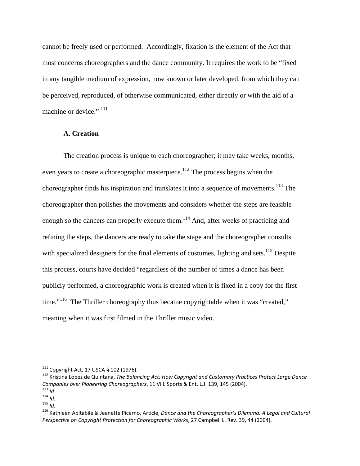cannot be freely used or performed. Accordingly, fixation is the element of the Act that most concerns choreographers and the dance community. It requires the work to be "fixed in any tangible medium of expression, now known or later developed, from which they can be perceived, reproduced, of otherwise communicated, either directly or with the aid of a machine or device."  $111$ 

### **A. Creation**

The creation process is unique to each choreographer; it may take weeks, months, even years to create a choreographic masterpiece.<sup>112</sup> The process begins when the choreographer finds his inspiration and translates it into a sequence of movements.<sup>113</sup> The choreographer then polishes the movements and considers whether the steps are feasible enough so the dancers can properly execute them.<sup>114</sup> And, after weeks of practicing and refining the steps, the dancers are ready to take the stage and the choreographer consults with specialized designers for the final elements of costumes, lighting and sets.<sup>115</sup> Despite this process, courts have decided "regardless of the number of times a dance has been publicly performed, a choreographic work is created when it is fixed in a copy for the first time."<sup>116</sup> The Thriller choreography thus became copyrightable when it was "created," meaning when it was first filmed in the Thriller music video.

 $111$  Copyright Act, 17 USCA § 102 (1976).

<sup>&</sup>lt;sup>112</sup> Kristina Lopez de Quintana, The Balancing Act: How Copyright and Customary Practices Protect Large Dance<br>Companies over Pioneering Choreographers, 11 Vill. Sports & Ent. L.J. 139, 145 (2004).

<sup>&</sup>lt;sup>113</sup> Id.<br>
<sup>114</sup> Id.<br>
<sup>115</sup> Kathleen Abitabile & Jeanette Picerno, Article, Dance and the Choreographer's Dilemma: A Legal and Cultural *Perspective on Copyright Protection for Choreographic Works*, 27 Campbell L. Rev. 39, 44 (2004).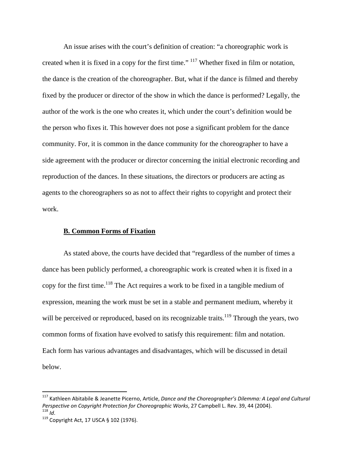An issue arises with the court's definition of creation: "a choreographic work is created when it is fixed in a copy for the first time."<sup>117</sup> Whether fixed in film or notation, the dance is the creation of the choreographer. But, what if the dance is filmed and thereby fixed by the producer or director of the show in which the dance is performed? Legally, the author of the work is the one who creates it, which under the court's definition would be the person who fixes it. This however does not pose a significant problem for the dance community. For, it is common in the dance community for the choreographer to have a side agreement with the producer or director concerning the initial electronic recording and reproduction of the dances. In these situations, the directors or producers are acting as agents to the choreographers so as not to affect their rights to copyright and protect their work.

#### **B. Common Forms of Fixation**

As stated above, the courts have decided that "regardless of the number of times a dance has been publicly performed, a choreographic work is created when it is fixed in a copy for the first time.<sup>118</sup> The Act requires a work to be fixed in a tangible medium of expression, meaning the work must be set in a stable and permanent medium, whereby it will be perceived or reproduced, based on its recognizable traits.<sup>119</sup> Through the years, two common forms of fixation have evolved to satisfy this requirement: film and notation. Each form has various advantages and disadvantages, which will be discussed in detail below.

<sup>117</sup> Kathleen Abitabile & Jeanette Picerno, Article, *Dance and the Choreographer's Dilemma: A Legal and Cultural Perspective on Copyright Protection for Choreographic Works, 27 Campbell L. Rev. 39, 44 (2004).* <sup>118</sup> *Id.* 119 Copyright Act, 17 USCA § 102 (1976).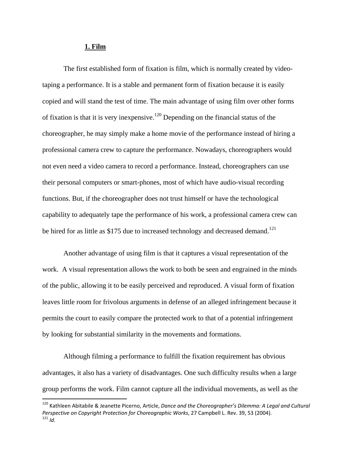#### **1. Film**

 The first established form of fixation is film, which is normally created by videotaping a performance. It is a stable and permanent form of fixation because it is easily copied and will stand the test of time. The main advantage of using film over other forms of fixation is that it is very inexpensive.<sup>120</sup> Depending on the financial status of the choreographer, he may simply make a home movie of the performance instead of hiring a professional camera crew to capture the performance. Nowadays, choreographers would not even need a video camera to record a performance. Instead, choreographers can use their personal computers or smart-phones, most of which have audio-visual recording functions. But, if the choreographer does not trust himself or have the technological capability to adequately tape the performance of his work, a professional camera crew can be hired for as little as  $$175$  due to increased technology and decreased demand.<sup>121</sup>

 Another advantage of using film is that it captures a visual representation of the work. A visual representation allows the work to both be seen and engrained in the minds of the public, allowing it to be easily perceived and reproduced. A visual form of fixation leaves little room for frivolous arguments in defense of an alleged infringement because it permits the court to easily compare the protected work to that of a potential infringement by looking for substantial similarity in the movements and formations.

Although filming a performance to fulfill the fixation requirement has obvious advantages, it also has a variety of disadvantages. One such difficulty results when a large group performs the work. Film cannot capture all the individual movements, as well as the

<sup>120</sup> Kathleen Abitabile & Jeanette Picerno, Article, *Dance and the Choreographer's Dilemma: A Legal and Cultural Perspective on Copyright Protection for Choreographic Works*, <sup>27</sup> Campbell L. Rev. 39, <sup>53</sup> (2004). <sup>121</sup> *Id*.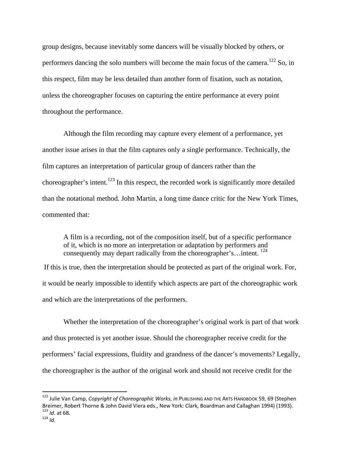group designs, because inevitably some dancers will be visually blocked by others, or performers dancing the solo numbers will become the main focus of the camera.<sup>122</sup> So, in this respect, film may be less detailed than another form of fixation, such as notation, unless the choreographer focuses on capturing the entire performance at every point throughout the performance.

Although the film recording may capture every element of a performance, yet another issue arises in that the film captures only a single performance. Technically, the film captures an interpretation of particular group of dancers rather than the choreographer's intent.<sup>123</sup> In this respect, the recorded work is significantly more detailed than the notational method. John Martin, a long time dance critic for the New York Times, commented that:

A film is a recording, not of the composition itself, but of a specific performance of it, which is no more an interpretation or adaptation by performers and consequently may depart radically from the choreographer's...intent.  $^{124}$ 

 If this is true, then the interpretation should be protected as part of the original work. For, it would be nearly impossible to identify which aspects are part of the choreographic work and which are the interpretations of the performers.

Whether the interpretation of the choreographer's original work is part of that work and thus protected is yet another issue. Should the choreographer receive credit for the performers' facial expressions, fluidity and grandness of the dancer's movements? Legally, the choreographer is the author of the original work and should not receive credit for the

<sup>122</sup> Julie Van Camp, *Copyright of Choreographic Works*, *in* PUBLISHING AND THE ARTS HANDBOOK 59, 69 (Stephen Breimer, Robert Thorne & John David Viera eds., New York: Clark, Boardman and Callaghan 1994) (1993).<br><sup>123</sup> *Id*. at 68.<br><sup>124</sup> *Id*.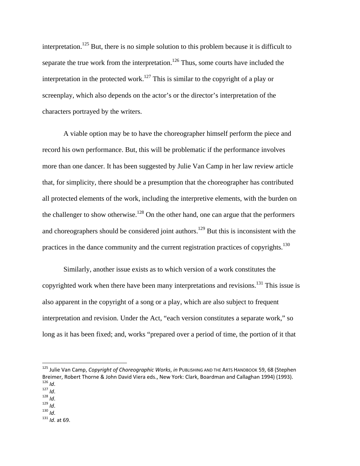interpretation.<sup>125</sup> But, there is no simple solution to this problem because it is difficult to separate the true work from the interpretation.<sup>126</sup> Thus, some courts have included the interpretation in the protected work.<sup>127</sup> This is similar to the copyright of a play or screenplay, which also depends on the actor's or the director's interpretation of the characters portrayed by the writers.

A viable option may be to have the choreographer himself perform the piece and record his own performance. But, this will be problematic if the performance involves more than one dancer. It has been suggested by Julie Van Camp in her law review article that, for simplicity, there should be a presumption that the choreographer has contributed all protected elements of the work, including the interpretive elements, with the burden on the challenger to show otherwise.<sup>128</sup> On the other hand, one can argue that the performers and choreographers should be considered joint authors.<sup>129</sup> But this is inconsistent with the practices in the dance community and the current registration practices of copyrights.<sup>130</sup>

Similarly, another issue exists as to which version of a work constitutes the copyrighted work when there have been many interpretations and revisions.<sup>131</sup> This issue is also apparent in the copyright of a song or a play, which are also subject to frequent interpretation and revision. Under the Act, "each version constitutes a separate work," so long as it has been fixed; and, works "prepared over a period of time, the portion of it that

<sup>125</sup> Julie Van Camp, *Copyright of Choreographic Works*, *in* PUBLISHING AND THE ARTS HANDBOOK 59, 68 (Stephen Breimer, Robert Thorne & John David Viera eds., New York: Clark, Boardman and Callaghan 1994) (1993).<br>
<sup>126</sup> *Id*.<br>
<sup>127</sup> *Id*.<br>
<sup>128</sup> *Id*.<br>
<sup>129</sup> *Id*.<br>
<sup>131</sup> *Id*. at 69.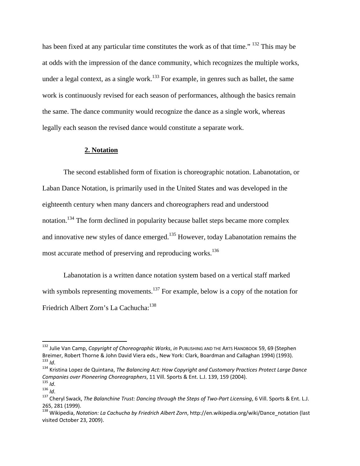has been fixed at any particular time constitutes the work as of that time." <sup>132</sup> This may be at odds with the impression of the dance community, which recognizes the multiple works, under a legal context, as a single work.<sup>133</sup> For example, in genres such as ballet, the same work is continuously revised for each season of performances, although the basics remain the same. The dance community would recognize the dance as a single work, whereas legally each season the revised dance would constitute a separate work.

#### **2. Notation**

The second established form of fixation is choreographic notation. Labanotation, or Laban Dance Notation, is primarily used in the United States and was developed in the eighteenth century when many dancers and choreographers read and understood notation.<sup>134</sup> The form declined in popularity because ballet steps became more complex and innovative new styles of dance emerged.<sup>135</sup> However, today Labanotation remains the most accurate method of preserving and reproducing works.<sup>136</sup>

Labanotation is a written dance notation system based on a vertical staff marked with symbols representing movements.<sup>137</sup> For example, below is a copy of the notation for Friedrich Albert Zorn's La Cachucha:<sup>138</sup>

<sup>132</sup> Julie Van Camp, *Copyright of Choreographic Works*, *in* PUBLISHING AND THE ARTS HANDBOOK 59, 69 (Stephen Breimer, Robert Thorne & John David Viera eds., New York: Clark, Boardman and Callaghan 1994) (1993).<br><sup>133</sup> Id.<br><sup>134</sup> Kristina Lopez de Quintana, *The Balancing Act: How Copyright and Customary Practices Protect Large Danc* 

Companies over Pioneering Choreographers, 11 Vill. Sports & Ent. L.J. 139, 159 (2004).<br><sup>135</sup> Id.<br><sup>136</sup> Id.<br><sup>136</sup> Cheryl Swack, *The Balanchine Trust: Dancing through the Steps of Two-Part Licensing*, 6 Vill. Sports & Ent.

<sup>265,</sup> <sup>281</sup> (1999). <sup>138</sup> Wikipedia, *Notation: La Cachucha by Friedrich Albert Zorn*, http://en.wikipedia.org/wiki/Dance\_notation (last

visited October 23, 2009).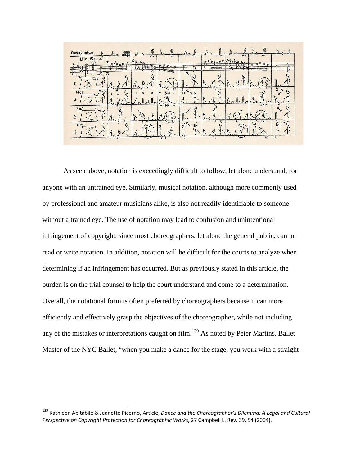| Castagnettes.                                                            | <br>                                                         |                           | <br><br>                                        |
|--------------------------------------------------------------------------|--------------------------------------------------------------|---------------------------|-------------------------------------------------|
| M.M 60 =<br>$\sigma$ .                                                   |                                                              |                           |                                                 |
| $\overline{\mathbf{c}}$<br>Fig. 1.1                                      | $\circ$                                                      | $\Omega$<br>ົ             | $\circ$<br>ົ                                    |
| $\sim$<br>o<br><b>STATISTICS</b><br>I                                    |                                                              |                           |                                                 |
| 3 <sup>2</sup><br>$\circ$<br>$\binom{3}{2}$<br>Fig.1.<br>$\mathcal{C}^0$ | $\mathbf{g}$                                                 | $\frac{5}{10}$<br>$\circ$ | 13<br>$\ddot{i}$ $\dot{3}$<br>a                 |
| $\mathbf{2}$<br>37                                                       | $4 - 5$<br>$\overline{\phantom{a}}$<br>$\boldsymbol{\wedge}$ | $\lambda$                 | $4-50$<br>$\Lambda$                             |
| Fig.1<br>$\alpha$<br>3                                                   |                                                              |                           |                                                 |
| 10<br>5<br>ᄌ<br>Fig. 1.<br>$\overline{O}$                                | $\boldsymbol{\lambda}$<br>ъ                                  | o<br>$\circ$              | $\overline{\phantom{a}}$<br>-6.<br>$\sim$<br>õ. |
| $\overline{4}$<br>$5 -$                                                  | 4.4                                                          |                           | Δ<br>4.<br>B                                    |

As seen above, notation is exceedingly difficult to follow, let alone understand, for anyone with an untrained eye. Similarly, musical notation, although more commonly used by professional and amateur musicians alike, is also not readily identifiable to someone without a trained eye. The use of notation may lead to confusion and unintentional infringement of copyright, since most choreographers, let alone the general public, cannot read or write notation. In addition, notation will be difficult for the courts to analyze when determining if an infringement has occurred. But as previously stated in this article, the burden is on the trial counsel to help the court understand and come to a determination. Overall, the notational form is often preferred by choreographers because it can more efficiently and effectively grasp the objectives of the choreographer, while not including any of the mistakes or interpretations caught on film.<sup>139</sup> As noted by Peter Martins, Ballet Master of the NYC Ballet, "when you make a dance for the stage, you work with a straight

<sup>139</sup> Kathleen Abitabile & Jeanette Picerno, Article, *Dance and the Choreographer's Dilemma: A Legal and Cultural Perspective on Copyright Protection for Choreographic Works*, 27 Campbell L. Rev. 39, 54 (2004).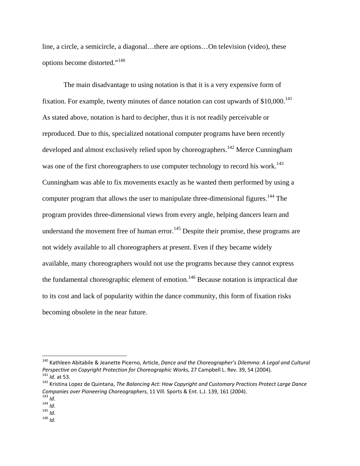line, a circle, a semicircle, a diagonal…there are options…On television (video), these options become distorted."<sup>140</sup>

The main disadvantage to using notation is that it is a very expensive form of fixation. For example, twenty minutes of dance notation can cost upwards of  $$10,000$ .<sup>141</sup> As stated above, notation is hard to decipher, thus it is not readily perceivable or reproduced. Due to this, specialized notational computer programs have been recently developed and almost exclusively relied upon by choreographers.<sup>142</sup> Merce Cunningham was one of the first choreographers to use computer technology to record his work.<sup>143</sup> Cunningham was able to fix movements exactly as he wanted them performed by using a computer program that allows the user to manipulate three-dimensional figures.<sup>144</sup> The program provides three-dimensional views from every angle, helping dancers learn and understand the movement free of human error.<sup>145</sup> Despite their promise, these programs are not widely available to all choreographers at present. Even if they became widely available, many choreographers would not use the programs because they cannot express the fundamental choreographic element of emotion.146 Because notation is impractical due to its cost and lack of popularity within the dance community, this form of fixation risks becoming obsolete in the near future.

<sup>140</sup> Kathleen Abitabile & Jeanette Picerno, Article, *Dance and the Choreographer's Dilemma: A Legal and Cultural* <sup>141</sup> Id. at 53.<br><sup>142</sup> Kristina Lopez de Quintana, The Balancing Act: How Copyright and Customary Practices Protect Large Dance

*Companies over Pioneering Choreographers*, <sup>11</sup> Vill. Sports & Ent. L.J. 139, <sup>161</sup> (2004). <sup>143</sup> *Id*. <sup>144</sup> *Id*. <sup>145</sup> *Id*. <sup>146</sup> *Id*.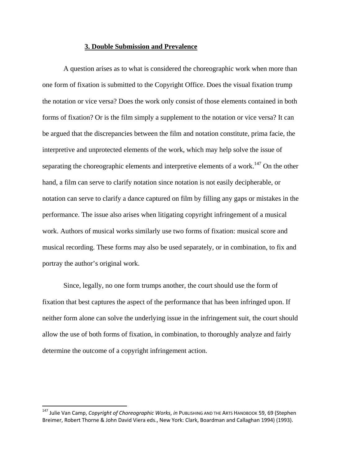#### **3. Double Submission and Prevalence**

A question arises as to what is considered the choreographic work when more than one form of fixation is submitted to the Copyright Office. Does the visual fixation trump the notation or vice versa? Does the work only consist of those elements contained in both forms of fixation? Or is the film simply a supplement to the notation or vice versa? It can be argued that the discrepancies between the film and notation constitute, prima facie, the interpretive and unprotected elements of the work, which may help solve the issue of separating the choreographic elements and interpretive elements of a work.<sup>147</sup> On the other hand, a film can serve to clarify notation since notation is not easily decipherable, or notation can serve to clarify a dance captured on film by filling any gaps or mistakes in the performance. The issue also arises when litigating copyright infringement of a musical work. Authors of musical works similarly use two forms of fixation: musical score and musical recording. These forms may also be used separately, or in combination, to fix and portray the author's original work.

Since, legally, no one form trumps another, the court should use the form of fixation that best captures the aspect of the performance that has been infringed upon. If neither form alone can solve the underlying issue in the infringement suit, the court should allow the use of both forms of fixation, in combination, to thoroughly analyze and fairly determine the outcome of a copyright infringement action.

<sup>147</sup> Julie Van Camp, *Copyright of Choreographic Works*, *in* PUBLISHING AND THE ARTS HANDBOOK 59, 69 (Stephen Breimer, Robert Thorne & John David Viera eds., New York: Clark, Boardman and Callaghan 1994) (1993).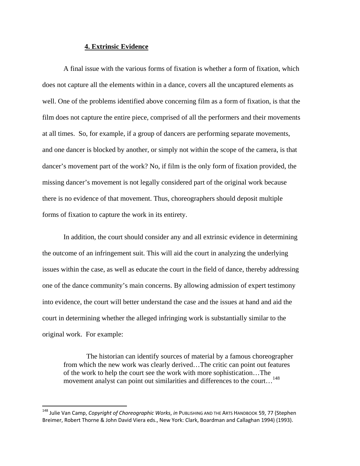#### **4. Extrinsic Evidence**

A final issue with the various forms of fixation is whether a form of fixation, which does not capture all the elements within in a dance, covers all the uncaptured elements as well. One of the problems identified above concerning film as a form of fixation, is that the film does not capture the entire piece, comprised of all the performers and their movements at all times. So, for example, if a group of dancers are performing separate movements, and one dancer is blocked by another, or simply not within the scope of the camera, is that dancer's movement part of the work? No, if film is the only form of fixation provided, the missing dancer's movement is not legally considered part of the original work because there is no evidence of that movement. Thus, choreographers should deposit multiple forms of fixation to capture the work in its entirety.

In addition, the court should consider any and all extrinsic evidence in determining the outcome of an infringement suit. This will aid the court in analyzing the underlying issues within the case, as well as educate the court in the field of dance, thereby addressing one of the dance community's main concerns. By allowing admission of expert testimony into evidence, the court will better understand the case and the issues at hand and aid the court in determining whether the alleged infringing work is substantially similar to the original work. For example:

 The historian can identify sources of material by a famous choreographer from which the new work was clearly derived…The critic can point out features of the work to help the court see the work with more sophistication…The movement analyst can point out similarities and differences to the court...<sup>148</sup>

<sup>148</sup> Julie Van Camp, *Copyright of Choreographic Works*, *in* PUBLISHING AND THE ARTS HANDBOOK 59, 77 (Stephen Breimer, Robert Thorne & John David Viera eds., New York: Clark, Boardman and Callaghan 1994) (1993).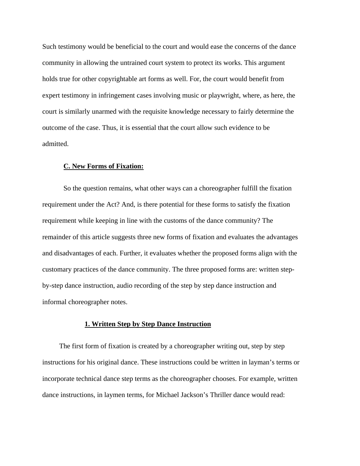Such testimony would be beneficial to the court and would ease the concerns of the dance community in allowing the untrained court system to protect its works. This argument holds true for other copyrightable art forms as well. For, the court would benefit from expert testimony in infringement cases involving music or playwright, where, as here, the court is similarly unarmed with the requisite knowledge necessary to fairly determine the outcome of the case. Thus, it is essential that the court allow such evidence to be admitted.

#### **C. New Forms of Fixation:**

So the question remains, what other ways can a choreographer fulfill the fixation requirement under the Act? And, is there potential for these forms to satisfy the fixation requirement while keeping in line with the customs of the dance community? The remainder of this article suggests three new forms of fixation and evaluates the advantages and disadvantages of each. Further, it evaluates whether the proposed forms align with the customary practices of the dance community. The three proposed forms are: written stepby-step dance instruction, audio recording of the step by step dance instruction and informal choreographer notes.

#### **1. Written Step by Step Dance Instruction**

The first form of fixation is created by a choreographer writing out, step by step instructions for his original dance. These instructions could be written in layman's terms or incorporate technical dance step terms as the choreographer chooses. For example, written dance instructions, in laymen terms, for Michael Jackson's Thriller dance would read: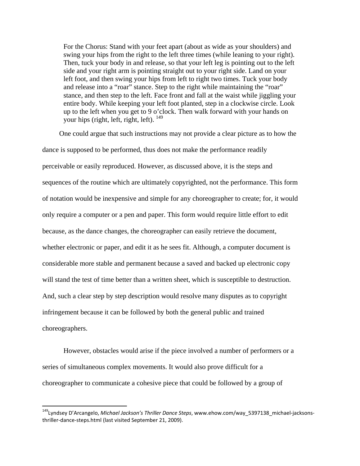For the Chorus: Stand with your feet apart (about as wide as your shoulders) and swing your hips from the right to the left three times (while leaning to your right). Then, tuck your body in and release, so that your left leg is pointing out to the left side and your right arm is pointing straight out to your right side. Land on your left foot, and then swing your hips from left to right two times. Tuck your body and release into a "roar" stance. Step to the right while maintaining the "roar" stance, and then step to the left. Face front and fall at the waist while jiggling your entire body. While keeping your left foot planted, step in a clockwise circle. Look up to the left when you get to 9 o'clock. Then walk forward with your hands on your hips (right, left, right, left). <sup>149</sup>

One could argue that such instructions may not provide a clear picture as to how the dance is supposed to be performed, thus does not make the performance readily perceivable or easily reproduced. However, as discussed above, it is the steps and sequences of the routine which are ultimately copyrighted, not the performance. This form of notation would be inexpensive and simple for any choreographer to create; for, it would only require a computer or a pen and paper. This form would require little effort to edit because, as the dance changes, the choreographer can easily retrieve the document, whether electronic or paper, and edit it as he sees fit. Although, a computer document is considerable more stable and permanent because a saved and backed up electronic copy will stand the test of time better than a written sheet, which is susceptible to destruction. And, such a clear step by step description would resolve many disputes as to copyright infringement because it can be followed by both the general public and trained choreographers.

However, obstacles would arise if the piece involved a number of performers or a series of simultaneous complex movements. It would also prove difficult for a choreographer to communicate a cohesive piece that could be followed by a group of

<sup>149</sup>Lyndsey D'Arcangelo, *Michael Jackson's Thriller Dance Steps*, www.ehow.com/way\_5397138\_michael‐jacksons‐ thriller‐dance‐steps.html (last visited September 21, 2009).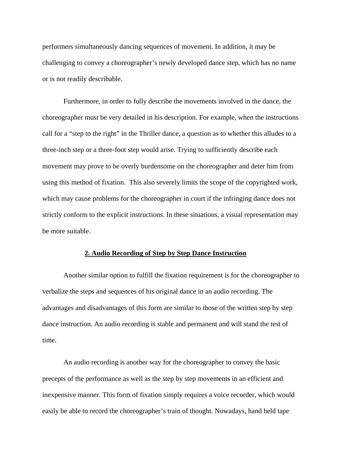performers simultaneously dancing sequences of movement. In addition, it may be challenging to convey a choreographer's newly developed dance step, which has no name or is not readily describable.

Furthermore, in order to fully describe the movements involved in the dance, the choreographer must be very detailed in his description. For example, when the instructions call for a "step to the right" in the Thriller dance, a question as to whether this alludes to a three-inch step or a three-foot step would arise. Trying to sufficiently describe each movement may prove to be overly burdensome on the choreographer and deter him from using this method of fixation. This also severely limits the scope of the copyrighted work, which may cause problems for the choreographer in court if the infringing dance does not strictly conform to the explicit instructions. In these situations, a visual representation may be more suitable.

#### **2. Audio Recording of Step by Step Dance Instruction**

Another similar option to fulfill the fixation requirement is for the choreographer to verbalize the steps and sequences of his original dance in an audio recording. The advantages and disadvantages of this form are similar to those of the written step by step dance instruction. An audio recording is stable and permanent and will stand the test of time.

An audio recording is another way for the choreographer to convey the basic precepts of the performance as well as the step by step movements in an efficient and inexpensive manner. This form of fixation simply requires a voice recorder, which would easily be able to record the choreographer's train of thought. Nowadays, hand held tape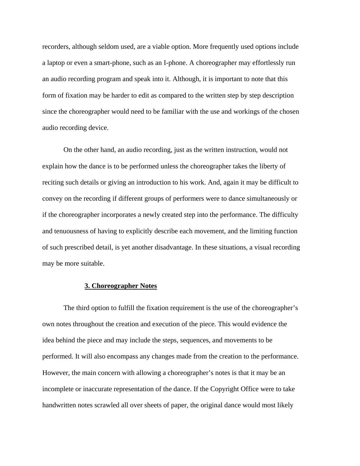recorders, although seldom used, are a viable option. More frequently used options include a laptop or even a smart-phone, such as an I-phone. A choreographer may effortlessly run an audio recording program and speak into it. Although, it is important to note that this form of fixation may be harder to edit as compared to the written step by step description since the choreographer would need to be familiar with the use and workings of the chosen audio recording device.

On the other hand, an audio recording, just as the written instruction, would not explain how the dance is to be performed unless the choreographer takes the liberty of reciting such details or giving an introduction to his work. And, again it may be difficult to convey on the recording if different groups of performers were to dance simultaneously or if the choreographer incorporates a newly created step into the performance. The difficulty and tenuousness of having to explicitly describe each movement, and the limiting function of such prescribed detail, is yet another disadvantage. In these situations, a visual recording may be more suitable.

#### **3. Choreographer Notes**

 The third option to fulfill the fixation requirement is the use of the choreographer's own notes throughout the creation and execution of the piece. This would evidence the idea behind the piece and may include the steps, sequences, and movements to be performed. It will also encompass any changes made from the creation to the performance. However, the main concern with allowing a choreographer's notes is that it may be an incomplete or inaccurate representation of the dance. If the Copyright Office were to take handwritten notes scrawled all over sheets of paper, the original dance would most likely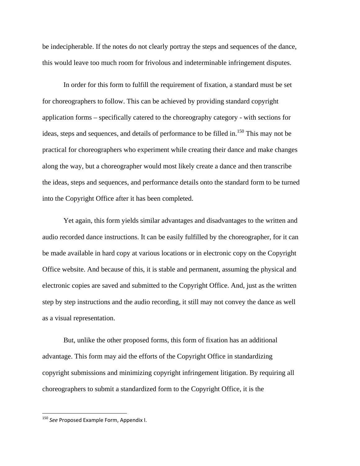be indecipherable. If the notes do not clearly portray the steps and sequences of the dance, this would leave too much room for frivolous and indeterminable infringement disputes.

 In order for this form to fulfill the requirement of fixation, a standard must be set for choreographers to follow. This can be achieved by providing standard copyright application forms – specifically catered to the choreography category - with sections for ideas, steps and sequences, and details of performance to be filled in.<sup>150</sup> This may not be practical for choreographers who experiment while creating their dance and make changes along the way, but a choreographer would most likely create a dance and then transcribe the ideas, steps and sequences, and performance details onto the standard form to be turned into the Copyright Office after it has been completed.

 Yet again, this form yields similar advantages and disadvantages to the written and audio recorded dance instructions. It can be easily fulfilled by the choreographer, for it can be made available in hard copy at various locations or in electronic copy on the Copyright Office website. And because of this, it is stable and permanent, assuming the physical and electronic copies are saved and submitted to the Copyright Office. And, just as the written step by step instructions and the audio recording, it still may not convey the dance as well as a visual representation.

But, unlike the other proposed forms, this form of fixation has an additional advantage. This form may aid the efforts of the Copyright Office in standardizing copyright submissions and minimizing copyright infringement litigation. By requiring all choreographers to submit a standardized form to the Copyright Office, it is the

<sup>150</sup> *See* Proposed Example Form, Appendix I.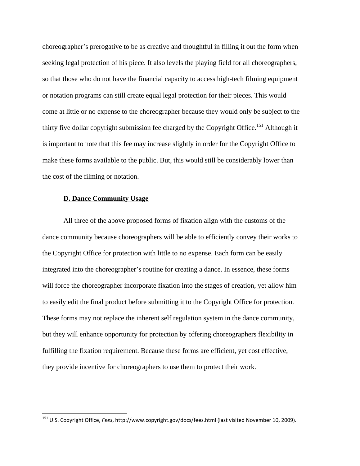choreographer's prerogative to be as creative and thoughtful in filling it out the form when seeking legal protection of his piece. It also levels the playing field for all choreographers, so that those who do not have the financial capacity to access high-tech filming equipment or notation programs can still create equal legal protection for their pieces. This would come at little or no expense to the choreographer because they would only be subject to the thirty five dollar copyright submission fee charged by the Copyright Office.<sup>151</sup> Although it is important to note that this fee may increase slightly in order for the Copyright Office to make these forms available to the public. But, this would still be considerably lower than the cost of the filming or notation.

#### **D. Dance Community Usage**

All three of the above proposed forms of fixation align with the customs of the dance community because choreographers will be able to efficiently convey their works to the Copyright Office for protection with little to no expense. Each form can be easily integrated into the choreographer's routine for creating a dance. In essence, these forms will force the choreographer incorporate fixation into the stages of creation, yet allow him to easily edit the final product before submitting it to the Copyright Office for protection. These forms may not replace the inherent self regulation system in the dance community, but they will enhance opportunity for protection by offering choreographers flexibility in fulfilling the fixation requirement. Because these forms are efficient, yet cost effective, they provide incentive for choreographers to use them to protect their work.

<sup>151</sup> U.S. Copyright Office, *Fees*, http://www.copyright.gov/docs/fees.html (last visited November 10, 2009).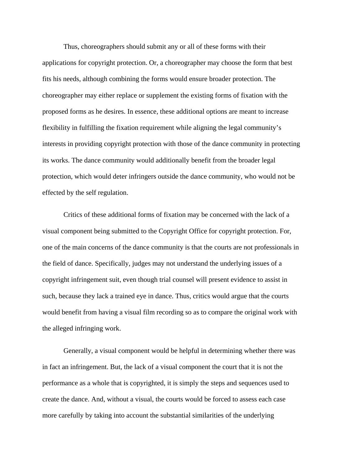Thus, choreographers should submit any or all of these forms with their applications for copyright protection. Or, a choreographer may choose the form that best fits his needs, although combining the forms would ensure broader protection. The choreographer may either replace or supplement the existing forms of fixation with the proposed forms as he desires. In essence, these additional options are meant to increase flexibility in fulfilling the fixation requirement while aligning the legal community's interests in providing copyright protection with those of the dance community in protecting its works. The dance community would additionally benefit from the broader legal protection, which would deter infringers outside the dance community, who would not be effected by the self regulation.

Critics of these additional forms of fixation may be concerned with the lack of a visual component being submitted to the Copyright Office for copyright protection. For, one of the main concerns of the dance community is that the courts are not professionals in the field of dance. Specifically, judges may not understand the underlying issues of a copyright infringement suit, even though trial counsel will present evidence to assist in such, because they lack a trained eye in dance. Thus, critics would argue that the courts would benefit from having a visual film recording so as to compare the original work with the alleged infringing work.

Generally, a visual component would be helpful in determining whether there was in fact an infringement. But, the lack of a visual component the court that it is not the performance as a whole that is copyrighted, it is simply the steps and sequences used to create the dance. And, without a visual, the courts would be forced to assess each case more carefully by taking into account the substantial similarities of the underlying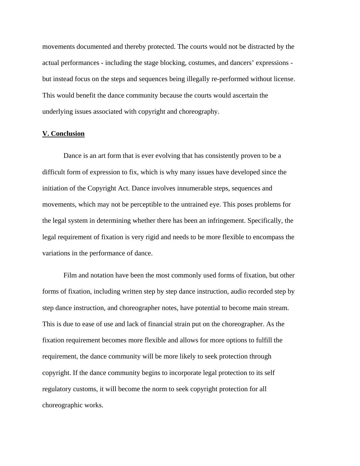movements documented and thereby protected. The courts would not be distracted by the actual performances - including the stage blocking, costumes, and dancers' expressions but instead focus on the steps and sequences being illegally re-performed without license. This would benefit the dance community because the courts would ascertain the underlying issues associated with copyright and choreography.

### **V. Conclusion**

 Dance is an art form that is ever evolving that has consistently proven to be a difficult form of expression to fix, which is why many issues have developed since the initiation of the Copyright Act. Dance involves innumerable steps, sequences and movements, which may not be perceptible to the untrained eye. This poses problems for the legal system in determining whether there has been an infringement. Specifically, the legal requirement of fixation is very rigid and needs to be more flexible to encompass the variations in the performance of dance.

Film and notation have been the most commonly used forms of fixation, but other forms of fixation, including written step by step dance instruction, audio recorded step by step dance instruction, and choreographer notes, have potential to become main stream. This is due to ease of use and lack of financial strain put on the choreographer. As the fixation requirement becomes more flexible and allows for more options to fulfill the requirement, the dance community will be more likely to seek protection through copyright. If the dance community begins to incorporate legal protection to its self regulatory customs, it will become the norm to seek copyright protection for all choreographic works.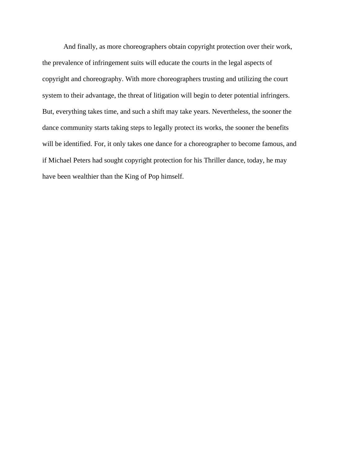And finally, as more choreographers obtain copyright protection over their work, the prevalence of infringement suits will educate the courts in the legal aspects of copyright and choreography. With more choreographers trusting and utilizing the court system to their advantage, the threat of litigation will begin to deter potential infringers. But, everything takes time, and such a shift may take years. Nevertheless, the sooner the dance community starts taking steps to legally protect its works, the sooner the benefits will be identified. For, it only takes one dance for a choreographer to become famous, and if Michael Peters had sought copyright protection for his Thriller dance, today, he may have been wealthier than the King of Pop himself.